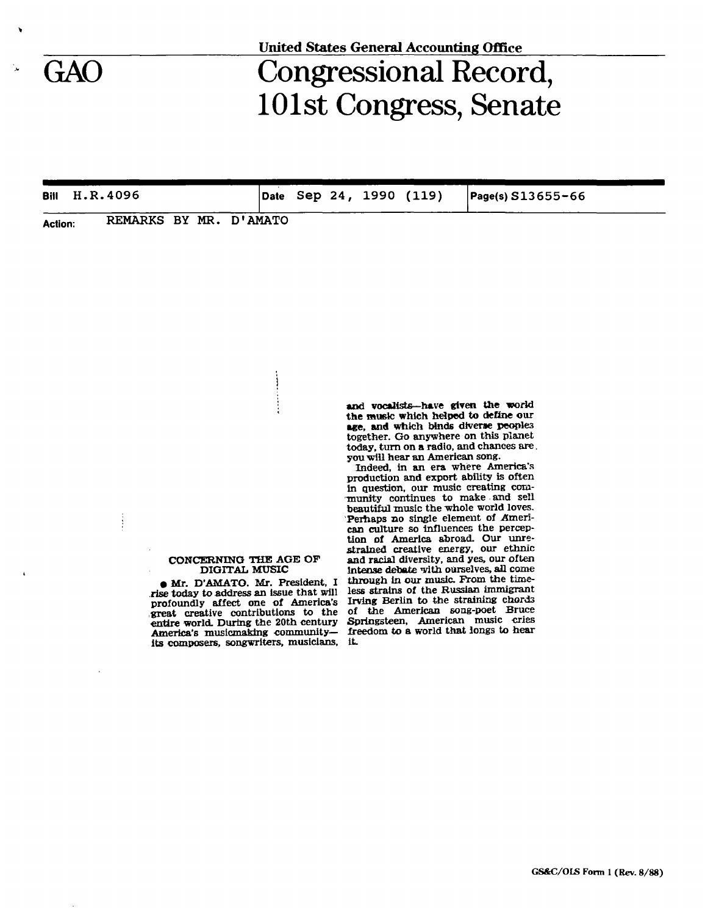## GAO Congressional Record, 101st Congress, Senate

| Bill           | H.R.4096               |  |  |  | Date Sep 24, 1990 (119) | $Page(s) S13655 - 66$ |  |
|----------------|------------------------|--|--|--|-------------------------|-----------------------|--|
| <b>Action:</b> | REMARKS BY MR. D'AMATO |  |  |  |                         |                       |  |

## **CONCERNING THE AGE OP DIGITAL MUSIC**

 $\frac{1}{2}$ 

**• Mr. D'AMATO. Mr. President, I rise today to address an issue that will profoundly affect one of America's great creative contributions to the entire world. During the 20th century America's musicmaking communityits composers, songwriters, musicians.**  and vocalists—have given the world **the music which helped to define our age, and which binds diverse peoples together. Go anywhere on this planet today, turn on a radio, and chances are. you will hear an American song.** 

**Indeed, in an era where America's production and export ability is often in guestion, our music creating com- -nranity continues to make and sell beautiful music the whole world loves. Perhaps no single element of American culture so influences the perception of America abroad. Our unrestrained creative energy, our ethnic and racial diversity, and yes, our often Intense debate with ourselves, all come**  through in our music. From the time**less strains of the Russian immigrant Irving Berlin to the straining chords of the American song-poet Bruce Springsteen, American music cries freedom to a world that longs to hear it.**